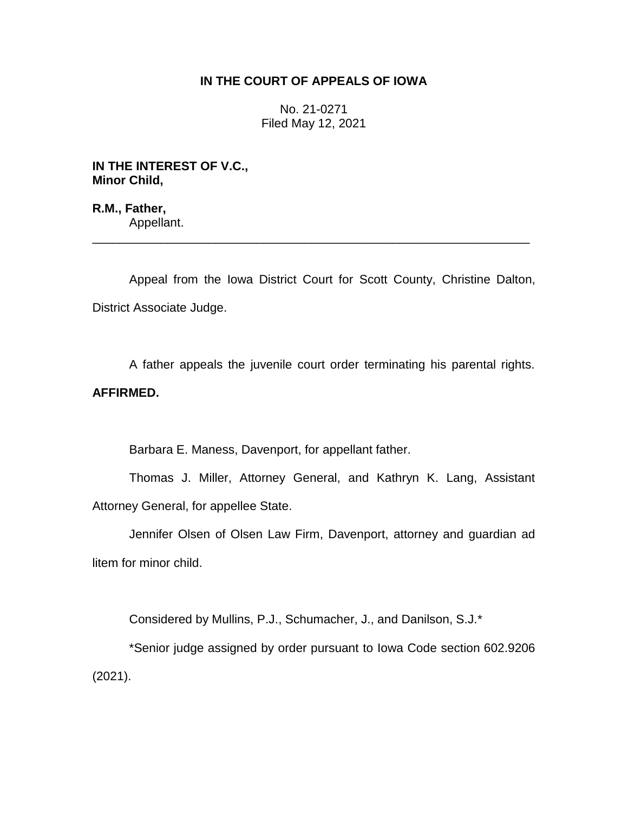# **IN THE COURT OF APPEALS OF IOWA**

No. 21-0271 Filed May 12, 2021

**IN THE INTEREST OF V.C., Minor Child,**

**R.M., Father,** Appellant.

Appeal from the Iowa District Court for Scott County, Christine Dalton, District Associate Judge.

\_\_\_\_\_\_\_\_\_\_\_\_\_\_\_\_\_\_\_\_\_\_\_\_\_\_\_\_\_\_\_\_\_\_\_\_\_\_\_\_\_\_\_\_\_\_\_\_\_\_\_\_\_\_\_\_\_\_\_\_\_\_\_\_

A father appeals the juvenile court order terminating his parental rights. **AFFIRMED.**

Barbara E. Maness, Davenport, for appellant father.

Thomas J. Miller, Attorney General, and Kathryn K. Lang, Assistant Attorney General, for appellee State.

Jennifer Olsen of Olsen Law Firm, Davenport, attorney and guardian ad litem for minor child.

Considered by Mullins, P.J., Schumacher, J., and Danilson, S.J.\*

\*Senior judge assigned by order pursuant to Iowa Code section 602.9206 (2021).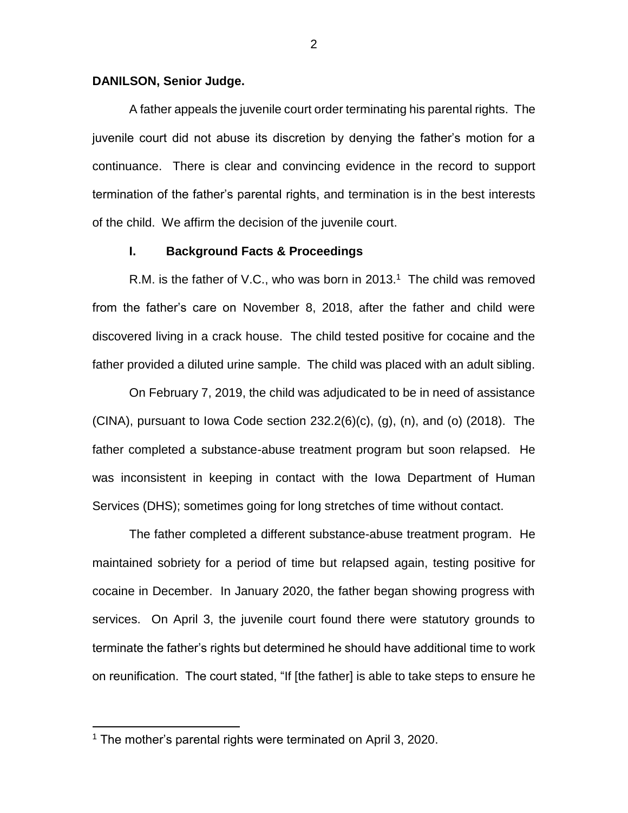#### **DANILSON, Senior Judge.**

A father appeals the juvenile court order terminating his parental rights. The juvenile court did not abuse its discretion by denying the father's motion for a continuance. There is clear and convincing evidence in the record to support termination of the father's parental rights, and termination is in the best interests of the child. We affirm the decision of the juvenile court.

### **I. Background Facts & Proceedings**

R.M. is the father of V.C., who was born in 2013.<sup>1</sup> The child was removed from the father's care on November 8, 2018, after the father and child were discovered living in a crack house. The child tested positive for cocaine and the father provided a diluted urine sample. The child was placed with an adult sibling.

On February 7, 2019, the child was adjudicated to be in need of assistance (CINA), pursuant to Iowa Code section 232.2(6)(c), (g), (n), and (o) (2018). The father completed a substance-abuse treatment program but soon relapsed. He was inconsistent in keeping in contact with the Iowa Department of Human Services (DHS); sometimes going for long stretches of time without contact.

The father completed a different substance-abuse treatment program. He maintained sobriety for a period of time but relapsed again, testing positive for cocaine in December. In January 2020, the father began showing progress with services. On April 3, the juvenile court found there were statutory grounds to terminate the father's rights but determined he should have additional time to work on reunification. The court stated, "If [the father] is able to take steps to ensure he

 $\overline{a}$ 

<sup>1</sup> The mother's parental rights were terminated on April 3, 2020.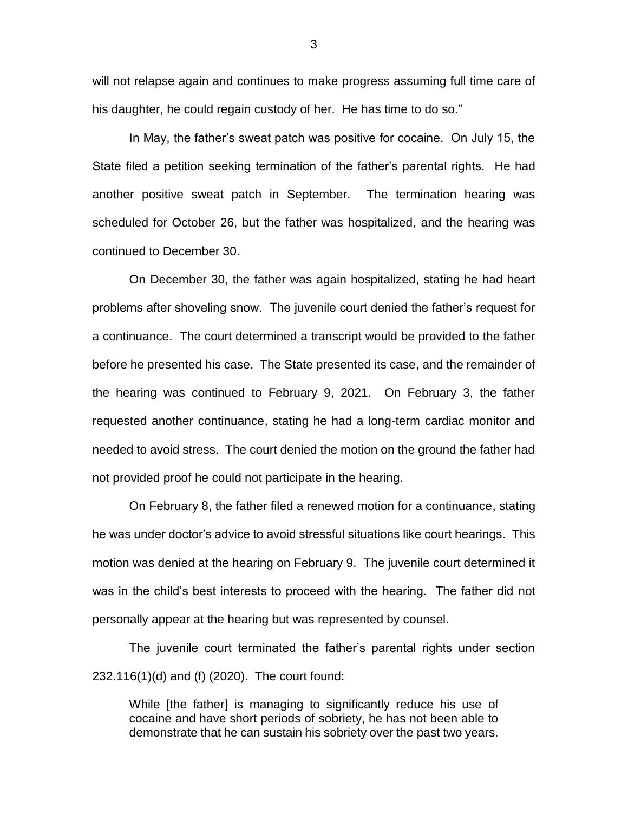will not relapse again and continues to make progress assuming full time care of his daughter, he could regain custody of her. He has time to do so."

In May, the father's sweat patch was positive for cocaine. On July 15, the State filed a petition seeking termination of the father's parental rights. He had another positive sweat patch in September. The termination hearing was scheduled for October 26, but the father was hospitalized, and the hearing was continued to December 30.

On December 30, the father was again hospitalized, stating he had heart problems after shoveling snow. The juvenile court denied the father's request for a continuance. The court determined a transcript would be provided to the father before he presented his case. The State presented its case, and the remainder of the hearing was continued to February 9, 2021. On February 3, the father requested another continuance, stating he had a long-term cardiac monitor and needed to avoid stress. The court denied the motion on the ground the father had not provided proof he could not participate in the hearing.

On February 8, the father filed a renewed motion for a continuance, stating he was under doctor's advice to avoid stressful situations like court hearings. This motion was denied at the hearing on February 9. The juvenile court determined it was in the child's best interests to proceed with the hearing. The father did not personally appear at the hearing but was represented by counsel.

The juvenile court terminated the father's parental rights under section 232.116(1)(d) and (f) (2020). The court found:

While [the father] is managing to significantly reduce his use of cocaine and have short periods of sobriety, he has not been able to demonstrate that he can sustain his sobriety over the past two years.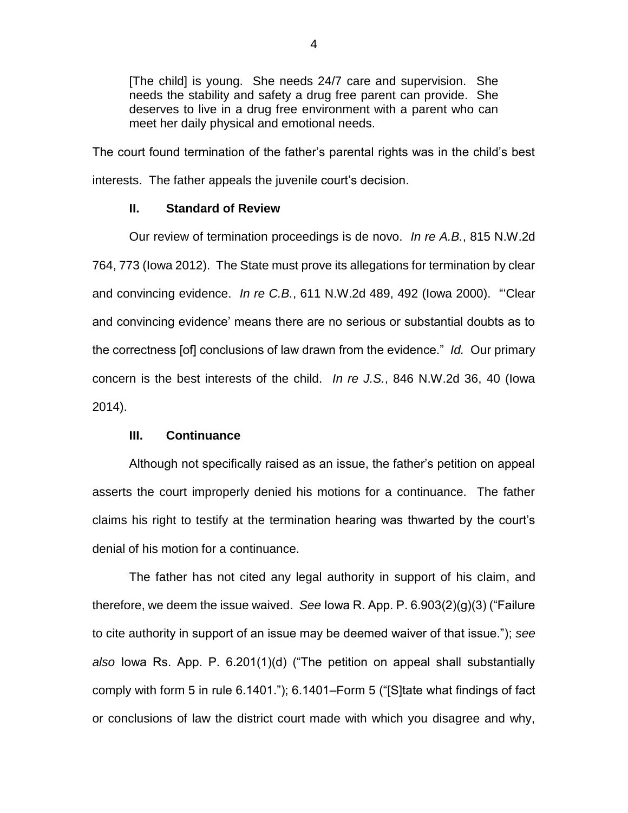[The child] is young. She needs 24/7 care and supervision. She needs the stability and safety a drug free parent can provide. She deserves to live in a drug free environment with a parent who can meet her daily physical and emotional needs.

The court found termination of the father's parental rights was in the child's best interests. The father appeals the juvenile court's decision.

#### **II. Standard of Review**

Our review of termination proceedings is de novo. *In re A.B.*, 815 N.W.2d 764, 773 (Iowa 2012). The State must prove its allegations for termination by clear and convincing evidence. *In re C.B.*, 611 N.W.2d 489, 492 (Iowa 2000). "'Clear and convincing evidence' means there are no serious or substantial doubts as to the correctness [of] conclusions of law drawn from the evidence." *Id.* Our primary concern is the best interests of the child. *In re J.S.*, 846 N.W.2d 36, 40 (Iowa 2014).

### **III. Continuance**

Although not specifically raised as an issue, the father's petition on appeal asserts the court improperly denied his motions for a continuance. The father claims his right to testify at the termination hearing was thwarted by the court's denial of his motion for a continuance.

The father has not cited any legal authority in support of his claim, and therefore, we deem the issue waived. *See* Iowa R. App. P. 6.903(2)(g)(3) ("Failure to cite authority in support of an issue may be deemed waiver of that issue."); *see also* Iowa Rs. App. P. 6.201(1)(d) ("The petition on appeal shall substantially comply with form 5 in rule 6.1401."); 6.1401–Form 5 ("[S]tate what findings of fact or conclusions of law the district court made with which you disagree and why,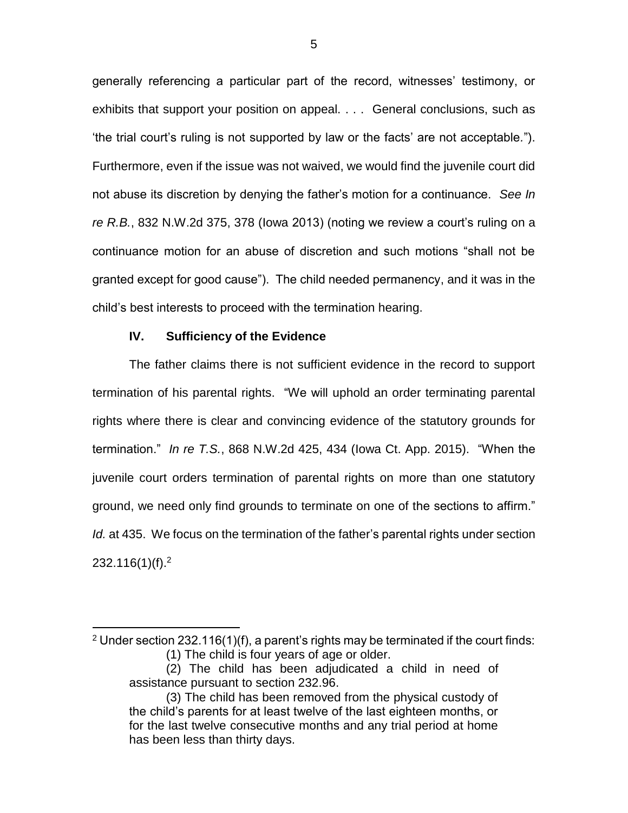generally referencing a particular part of the record, witnesses' testimony, or exhibits that support your position on appeal. . . . General conclusions, such as 'the trial court's ruling is not supported by law or the facts' are not acceptable*.*"). Furthermore, even if the issue was not waived, we would find the juvenile court did not abuse its discretion by denying the father's motion for a continuance. *See In re R.B.*, 832 N.W.2d 375, 378 (Iowa 2013) (noting we review a court's ruling on a continuance motion for an abuse of discretion and such motions "shall not be granted except for good cause"). The child needed permanency, and it was in the child's best interests to proceed with the termination hearing.

## **IV. Sufficiency of the Evidence**

 $\overline{a}$ 

The father claims there is not sufficient evidence in the record to support termination of his parental rights. "We will uphold an order terminating parental rights where there is clear and convincing evidence of the statutory grounds for termination." *In re T.S.*, 868 N.W.2d 425, 434 (Iowa Ct. App. 2015). "When the juvenile court orders termination of parental rights on more than one statutory ground, we need only find grounds to terminate on one of the sections to affirm." *Id.* at 435. We focus on the termination of the father's parental rights under section 232.116(1)(f).<sup>2</sup>

 $2$  Under section 232.116(1)(f), a parent's rights may be terminated if the court finds: (1) The child is four years of age or older.

<sup>(2)</sup> The child has been adjudicated a child in need of assistance pursuant to section 232.96.

<sup>(3)</sup> The child has been removed from the physical custody of the child's parents for at least twelve of the last eighteen months, or for the last twelve consecutive months and any trial period at home has been less than thirty days.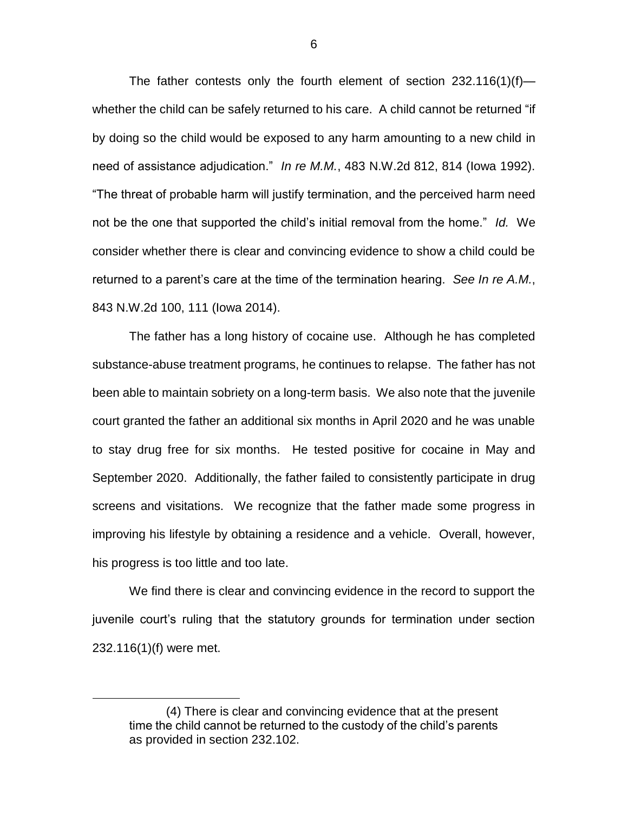The father contests only the fourth element of section  $232.116(1)(f)$  whether the child can be safely returned to his care. A child cannot be returned "if by doing so the child would be exposed to any harm amounting to a new child in need of assistance adjudication." *In re M.M.*, 483 N.W.2d 812, 814 (Iowa 1992). "The threat of probable harm will justify termination, and the perceived harm need not be the one that supported the child's initial removal from the home." *Id.* We consider whether there is clear and convincing evidence to show a child could be returned to a parent's care at the time of the termination hearing. *See In re A.M.*, 843 N.W.2d 100, 111 (Iowa 2014).

The father has a long history of cocaine use. Although he has completed substance-abuse treatment programs, he continues to relapse. The father has not been able to maintain sobriety on a long-term basis. We also note that the juvenile court granted the father an additional six months in April 2020 and he was unable to stay drug free for six months. He tested positive for cocaine in May and September 2020. Additionally, the father failed to consistently participate in drug screens and visitations. We recognize that the father made some progress in improving his lifestyle by obtaining a residence and a vehicle. Overall, however, his progress is too little and too late.

We find there is clear and convincing evidence in the record to support the juvenile court's ruling that the statutory grounds for termination under section 232.116(1)(f) were met.

 $\overline{a}$ 

<sup>(4)</sup> There is clear and convincing evidence that at the present time the child cannot be returned to the custody of the child's parents as provided in section 232.102.